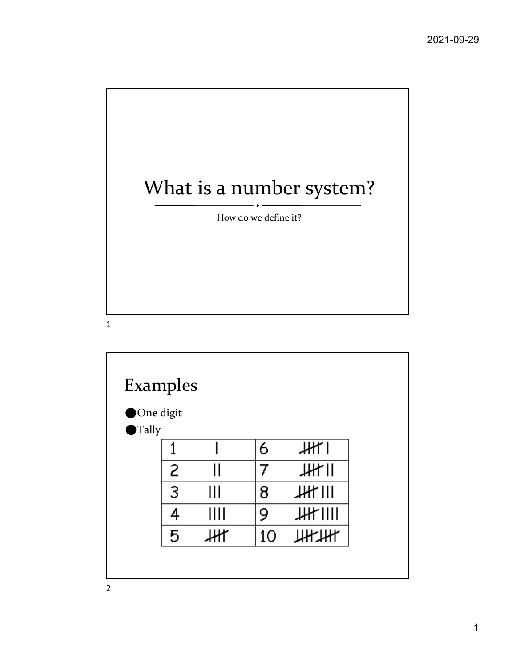

| Examples                          |   |   |    |         |  |
|-----------------------------------|---|---|----|---------|--|
| One digit<br>$\blacksquare$ Tally |   |   |    |         |  |
|                                   |   |   | 6  | HH I    |  |
|                                   | 2 |   |    | $JH$ II |  |
|                                   | 3 | Ш | 8  | JH      |  |
|                                   |   | Ш | 9  | JH      |  |
|                                   | 5 |   | 10 | Ж₩      |  |
|                                   |   |   |    |         |  |
|                                   |   |   |    |         |  |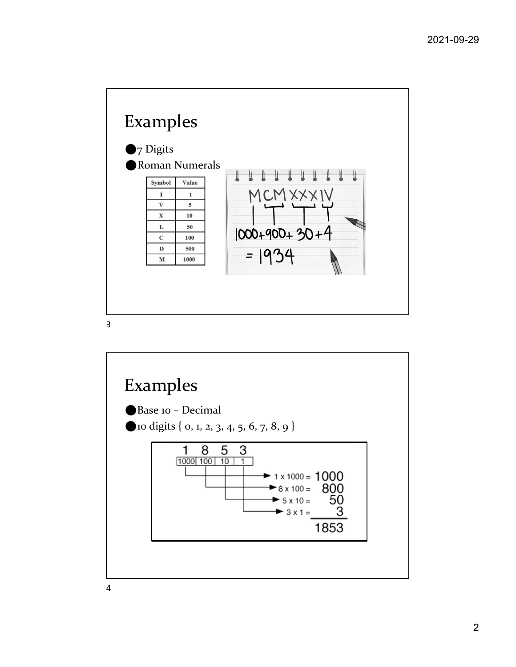

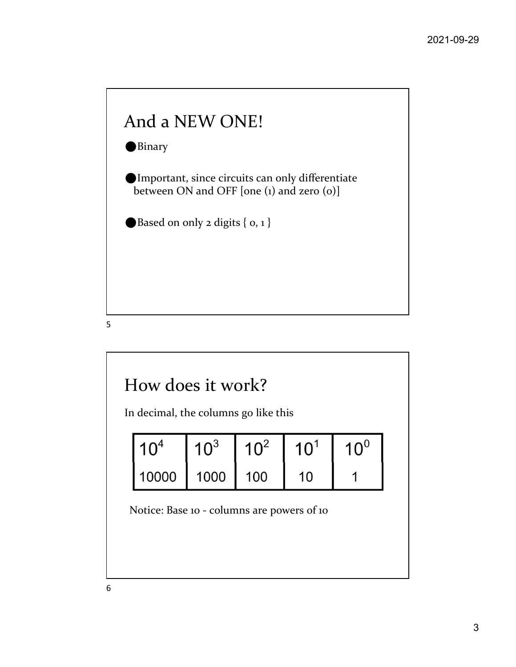

 $5<sub>5</sub>$ 

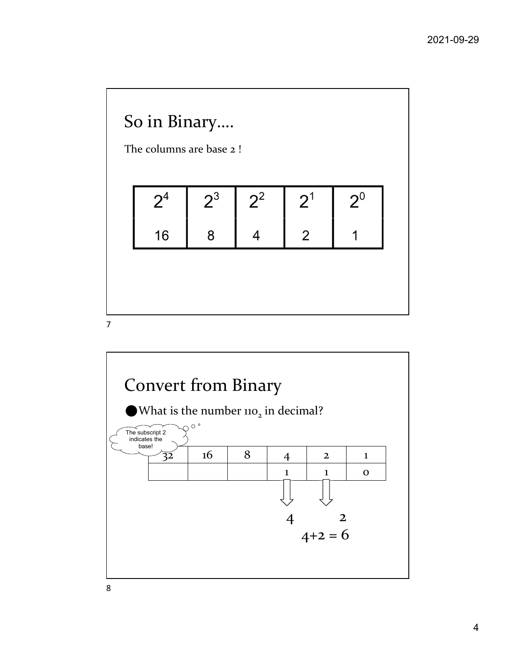

7

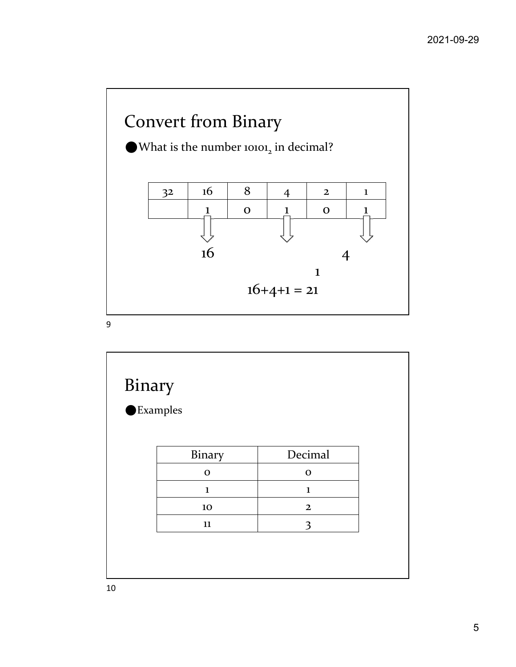